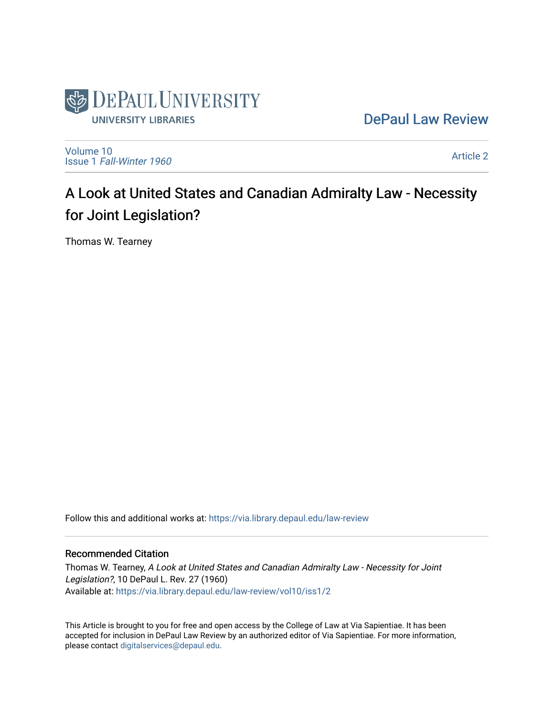

[DePaul Law Review](https://via.library.depaul.edu/law-review) 

[Volume 10](https://via.library.depaul.edu/law-review/vol10) Issue 1 [Fall-Winter 1960](https://via.library.depaul.edu/law-review/vol10/iss1)

[Article 2](https://via.library.depaul.edu/law-review/vol10/iss1/2) 

# A Look at United States and Canadian Admiralty Law - Necessity for Joint Legislation?

Thomas W. Tearney

Follow this and additional works at: [https://via.library.depaul.edu/law-review](https://via.library.depaul.edu/law-review?utm_source=via.library.depaul.edu%2Flaw-review%2Fvol10%2Fiss1%2F2&utm_medium=PDF&utm_campaign=PDFCoverPages) 

## Recommended Citation

Thomas W. Tearney, A Look at United States and Canadian Admiralty Law - Necessity for Joint Legislation?, 10 DePaul L. Rev. 27 (1960) Available at: [https://via.library.depaul.edu/law-review/vol10/iss1/2](https://via.library.depaul.edu/law-review/vol10/iss1/2?utm_source=via.library.depaul.edu%2Flaw-review%2Fvol10%2Fiss1%2F2&utm_medium=PDF&utm_campaign=PDFCoverPages) 

This Article is brought to you for free and open access by the College of Law at Via Sapientiae. It has been accepted for inclusion in DePaul Law Review by an authorized editor of Via Sapientiae. For more information, please contact [digitalservices@depaul.edu.](mailto:digitalservices@depaul.edu)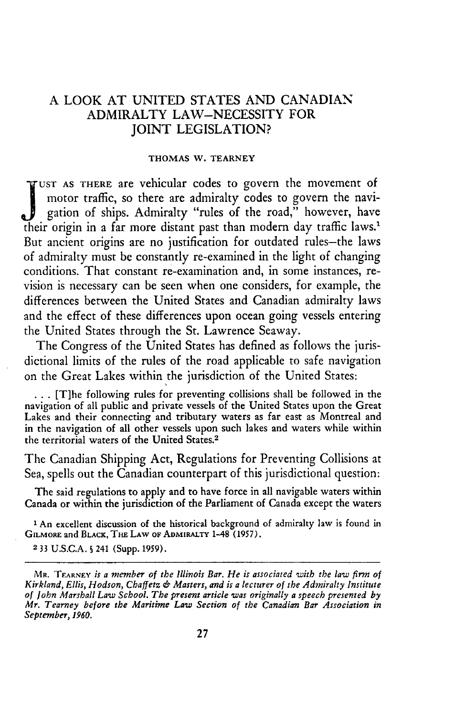## **A** LOOK **AT** UNITED STATES **AND** CANADIAN ADMIRALTY LAW-NECESSITY FOR JOINT LEGISLATION?

#### **THOMAS** W. TEARNEY

**UST AS THERE** are vehicular codes to govern the movement of motor traffic, so there are admiralty codes to govern the navigation of ships. Admiralty "rules of the road," however, have their origin in a far more distant past than modern day traffic laws.' But ancient origins are no justification for outdated rules-the laws of admiralty must be constantly re-examined in the light of changing conditions. That constant re-examination and, in some instances, revision is necessary can be seen when one considers, for example, the differences between the United States and Canadian admiralty laws and the effect of these differences upon ocean going vessels entering the United States through the St. Lawrence Seaway.

The Congress of the United States has defined as follows the jurisdictional limits of the rules of the road applicable to safe navigation on the Great Lakes within the jurisdiction of the United States:

**...** [T]he following rules for preventing collisions shall be followed in the navigation of all public and private vessels of the United States upon the Great Lakes and their connecting and tributary waters as far east as Montreal and in the navigation of all other vessels upon such lakes and waters while within the territorial waters of the United States.<sup>2</sup>

The Canadian Shipping Act, Regulations for Preventing Collisions at Sea, spells out the Canadian counterpart of this jurisdictional question:

The said regulations to apply and to have force in all navigable waters within Canada or within the jurisdiction of the Parliament of Canada except the waters

l An excellent discussion of the historical background of admiralty law is found in **GILMORE** and **BLACK, THE LAW OF ADMIRALTY 1-48 (1957).**

**2 33** U.S.C.A. **S** 241 (Supp. 1959).

**MR. TEARNEY** *is a member of the Illinois Bar. He is associated with the law firm of Kirkland, Ellis, Hodson, Chaffetz €6 Masters, and is a lecturer of the Admiralty Institute of John Marshall Law School. The present article was originally a speech presented by Mr. Tearney before the Maritime Law Section of the Canadian Bar Association in September, 1960.*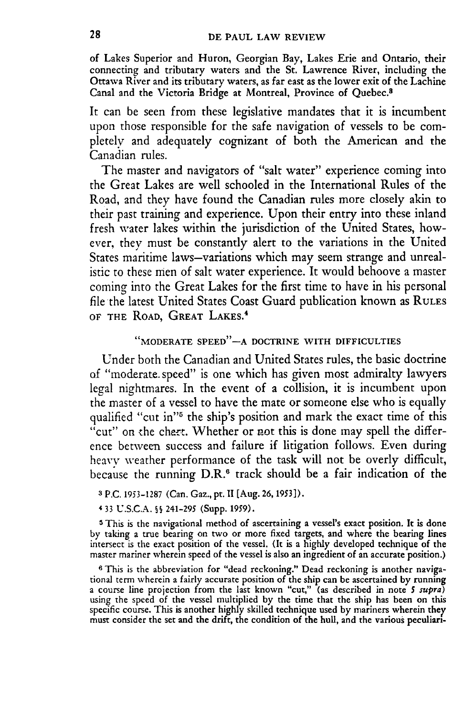of Lakes Superior and Huron, Georgian Bay, Lakes Erie and Ontario, their connecting and tributary waters and the St. Lawrence River, including the Ottawa River and its tributary waters, as far east as the lower exit of the Lachine Canal and the Victoria Bridge at Montreal, Province of Quebec.8

It can be seen from these legislative mandates that it is incumbent upon those responsible for the safe navigation of vessels to be **com**pletely and adequately cognizant of both the American and the Canadian rules.

The master and navigators of "salt water" experience coming into the Great Lakes are well schooled in the International Rules of the Road, and they have found the Canadian rules more closely akin to their past training and experience. Upon their entry into these inland fresh water lakes within the jurisdiction of the United States, however, they must be constantly alert to the variations in the United States maritime laws-variations which may seem strange and unrealistic to these men of salt water experience. It would behoove a master coming into the Great Lakes for the first time to have in his personal file the latest United States Coast Guard publication known as **RULES** OF **THE ROAD, GREAT** LAKES. <sup>4</sup>

## **"MODERATE SPEED"-A DOCTRINE WITH DIFFICULTIES**

Under both the Canadian and United States rules, the basic doctrine of "moderate speed" is one which has given most admiralty lawyers legal nightmares. In the event of a collision, it is incumbent upon the master of a vessel to have the mate or someone else who is equally qualified "cut in"<sup>5</sup> the ship's position and mark the exact time of this "cut" on the chart. Whether or not this is done may spell the difference between success and failure if litigation follows. Even during heavy weather performance of the task will not be overly difficult, because the running **D.R.6** track should be a fair indication of the

- **3 P.C. 1953-1287** (Can. Gaz., pt. **II** [Aug. **26, 1953]).**
- 4 **33 U.S.C.A. S§ 241-295** (Supp. **1959).**

**5** This is the navigational method of ascertaining a vessel's exact position. It is done **by** taking a true bearing on two or more fixed targets, and where the bearing lines intersect is the exact position of the vessel. (It is a **highly** developed technique of the master mariner wherein speed of the vessel is also an ingredient of an accurate position.)

**6** This is the abbreviation for "dead reckoning." Dead reckoning is another navigational term wherein a fairly accurate position of the ship can be ascertained **by** running a course line projection from the last known "cut," (as described in note *5 supra)* using the speed of the vessel multiplied **by** the time that the ship has been on this specific course. This is another **highly** skilled technique used **by** mariners wherein they must consider the set and the drift, the condition of the hull, and the various peculiari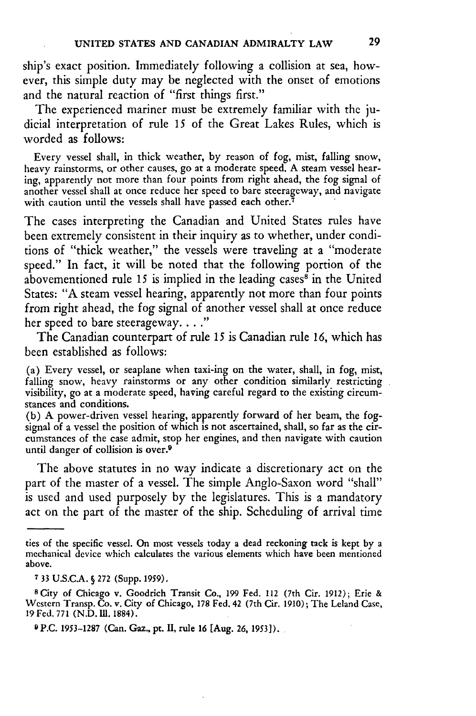ship's exact position. Immediately following a collision at sea, however, this simple duty may be neglected with the onset of emotions and the natural reaction of "first things first."

The experienced mariner must be extremely familiar with the judicial interpretation of rule **15** of the Great Lakes Rules, which is worded as follows:

Every vessel shall, in thick weather, by reason of fog, mist, falling snow, heavy rainstorms, or other causes, go at a moderate speed. A steam vessel hearing, apparently not more than four points from right ahead, the fog signal of another vessel shall at once reduce her speed to bare steerageway, and navigate with caution until the vessels shall have passed each other.<sup>7</sup>

The cases interpreting the Canadian and United States rules have been extremely consistent in their inquiry as to whether, under conditions of "thick weather," the vessels were traveling at a "moderate speed." In fact, it will be noted that the following portion of the abovementioned rule 15 is implied in the leading cases $\frac{8}{3}$  in the United States: "A steam vessel hearing, apparently not more than four points from right ahead, the fog signal of another vessel shall at once reduce her speed to bare steerageway. **.. "**

The Canadian counterpart of rule 15 is Canadian rule 16, which has been established as follows:

(a) Every vessel, or seaplane when taxi-ing on the water, shall, in fog, mist, falling snow, heavy rainstorms or any other condition similarly restricting visibility, go at a moderate speed, having careful regard to the existing circumstances and conditions.

(b) A power-driven vessel hearing, apparently forward of her beam, the fogsignal of a vessel the position of which is not ascertained, shall, so far as the circumstances of the case admit, stop her engines, and then navigate with caution until danger of collision is over.<sup>9</sup>

The above statutes in no way indicate a discretionary act on the part of the master of a vessel. The simple Anglo-Saxon word "shall" is used and used purposely by the legislatures. This is a mandatory act on the part of the master of the ship. Scheduling of arrival time

ties of the specific vessel. On most vessels today a dead reckoning tack is kept by a mechanical device which calculates the various elements which have been mentioned above.

**<sup>7</sup>**33 U.S.C.A. § **272** (Supp. 1959).

<sup>8</sup> City of Chicago v. Goodrich Transit Co., 199 Fed. 112 (7th Cir. 1912); Erie **&** Western Transp. **Co.** v. City of Chicago, **178** Fed. 42 (7th Cir. 1910); The Leland Case, <sup>19</sup>**Fed. 771** (N.D. **IM.** 1884).

**<sup>9</sup> P.C. 1953-1287** (Can. Gaz., **pt. II, rule 16 [Aug. 26, 1953]).**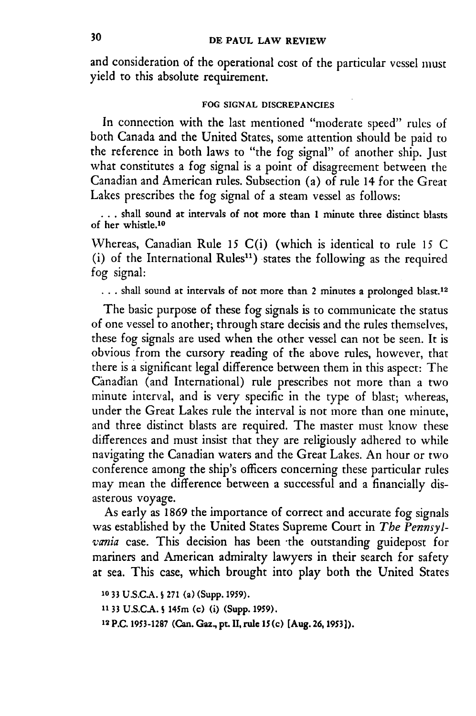and consideration of the operational cost of the particular vessel must yield to this absolute requirement.

#### **FOG SIGNAL DISCREPANCIES**

In connection with the last mentioned "moderate speed" rules of both Canada and the United States, some attention should be paid to the reference in both laws to "the fog signal" of another ship. Just what constitutes a fog signal is a point of disagreement between the Canadian and American rules. Subsection (a) of rule 14 for the Great Lakes prescribes the fog signal of a steam vessel as follows:

**..** shall sound at intervals of not more than 1 minute three distinct blasts of **her** whistle.1o

Whereas, Canadian Rule 15 C(i) (which is identical to rule *15* C (i) of the International Rules") states the following as the required fog signal:

... shall sound at intervals of not more than 2 minutes a prolonged blast.<sup>12</sup>

The basic purpose of these fog signals is to communicate the status of one vessel to another; through stare decisis and the rules themselves, these fog signals are used when the other vessel can not be seen. It is obvious from the cursory reading of the above rules, however, that there is a significant legal difference between them in this aspect: The Canadian (and International) rule prescribes not more than a two minute interval, and is very specific in the type of blast; whereas, under the Great Lakes rule the interval is not more than one minute, and three distinct blasts are required. The master must know these differences and must insist that they are religiously adhered to while navigating the Canadian waters and the Great Lakes. An hour or two conference among the ship's officers concerning these particular rules may mean the difference between a successful and a financially disasterous voyage.

As early as 1869 the importance of correct and accurate fog signals was established by the United States Supreme Court in *The Pennsylvania* case. This decision has been -the outstanding guidepost for mariners and American admiralty lawyers in their search for safety at sea. This case, which brought into play both the United States

```
10 33 U.S.C.A. s 271 (a) (Supp. 1959).
11 33 U.S.CA. 5 145m (c) (i) (Supp. 1959).
12 P.C. 1953-1287 (Can. Gaz., pt. II, rule 15 (c) [Aug. 26, 1953]).
```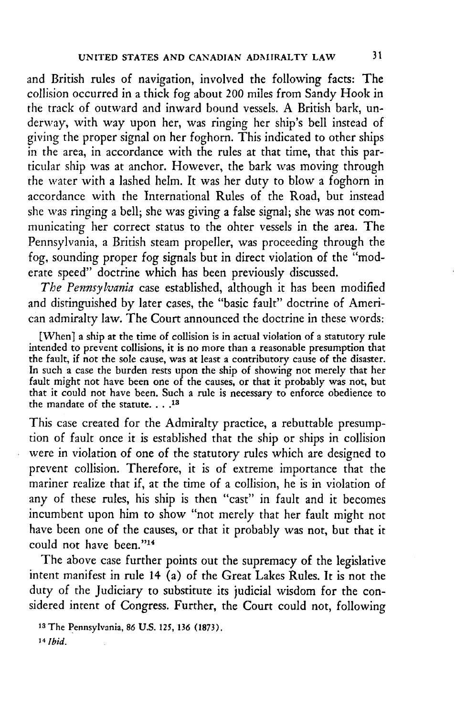and British rules of navigation, involved the following facts: The collision occurred in a thick fog about 200 miles from Sandy Hook in the track of outward and inward bound vessels. A British bark, underway, with way upon her, was ringing her ship's bell instead of giving the proper signal on her foghorn. This indicated to other ships in the area, in accordance with the rules at that time, that this particular ship was at anchor. However, the bark was moving through the water with a lashed helm. It was her duty to blow a foghorn in accordance with the International Rules of the Road, but instead she was ringing a bell; she was giving a false signal; she was not communicating her correct status to the ohter vessels in the area. The Pennsylvania, a British steam propeller, was proceeding through the fog, sounding proper fog signals but in direct violation of the "moderate speed" doctrine which has been previously discussed.

*The Pennsylvania* case established, although it has been modified and distinguished by later cases, the "basic fault" doctrine of American admiralty law. The Court announced the doctrine in these words:

[When] a ship at the time of collision is in actual violation of a statutory rule intended to prevent collisions, it is no more than a reasonable presumption that the fault, if not the sole cause, was at least a contributory cause of the disaster. In such a case the burden rests upon the ship of showing not merely that her fault might not have been one of the causes, or that it probably was not, but that it could not have been. Such a rule is necessary to enforce obedience to the mandate of the statute **.... <sup>13</sup>**

This case created for the Admiralty practice, a rebuttable presumption of fault once it is established that the ship or ships in collision were in violation of one of the statutory rules which are designed to prevent collision. Therefore, it is of extreme importance that the mariner realize that if, at the time of a collision, he is in violation of any of these rules, his ship is then "cast" in fault and it becomes incumbent upon him to show "not merely that her fault might not have been one of the causes, or that it probably was not, but that it could not have been."14

The above case further points out the supremacy of the legislative intent manifest in rule 14 (a) of the Great Lakes Rules. It is not the duty of the Judiciary to substitute its judicial wisdom for the considered intent of Congress. Further, the Court could not, following

1 3The Pennsylvania, **86 U.S. 125, 136 (1873).** 14 *Ibid.*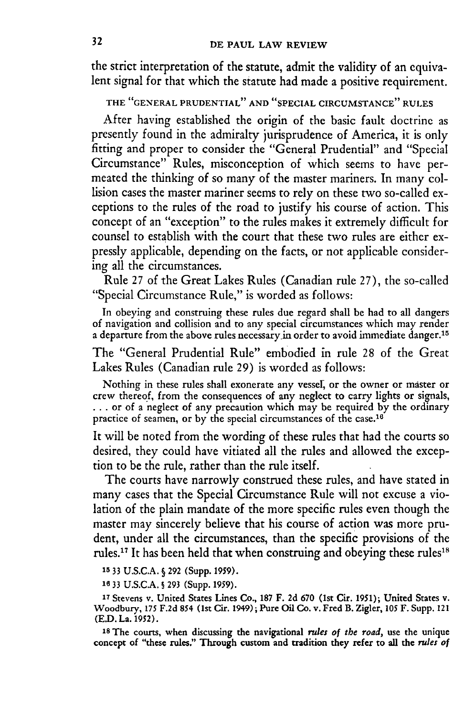the strict interpretation of the statute, admit the validity of an equivalent signal for that which the statute had made a positive requirement.

**THE "GENERAL PRUDENTIAL" AND "SPECIAL CIRCUMSTANCE" RULES**

After having established the origin of the basic fault doctrine as presently found in the admiralty jurisprudence of America, it is only fitting and proper to consider the "General Prudential" and "Special Circumstance" Rules, misconception of which seems to have permeated the thinking of so many of the master mariners. In many collision cases the master mariner seems to rely on these two so-called exceptions to the rules of the road to justify his course of action. This concept of an "exception" to the rules makes it extremely difficult for counsel to establish with the court that these two rules are either expressly applicable, depending on the facts, or not applicable considering all the circumstances.

Rule 27 of the Great Lakes Rules (Canadian rule **27),** the so-called "Special Circumstance Rule," is worded as follows:

In obeying and construing these rules due regard shall be had to all dangers of navigation and collision and to any special circumstances which may render a departure from the above rules necessary in order to avoid immediate danger.<sup>15</sup>

The "General Prudential Rule" embodied in rule **28** of the Great Lakes Rules (Canadian rule **29)** is worded as follows:

Nothing in these rules shall exonerate any vessel, or the owner or master or crew thereof, from the consequences of any neglect to carry lights or signals, **...** or of a neglect of any precaution which may be required **by** the ordinary practice of seamen, or by the special circumstances of the case.<sup>16</sup>

It will be noted from the wording of these rules that had the courts so desired, they could have vitiated all the rules and allowed the exception to be the rule, rather than the rule itself.

The courts have narrowly construed these rules, and have stated in many cases that the Special Circumstance Rule will not excuse a violation of the plain mandate of the more specific rules even though the master may sincerely believe that his course of action was more prudent, under all the circumstances, than the specific provisions of the rules.<sup>17</sup> It has been held that when construing and obeying these rules<sup>18</sup>

**15 33 U.S.C.A.** § **292** (Supp. **1959).**

**16** 33 **U.S.C.A.** § **293** (Supp. **1959).**

<sup>17</sup> Stevens v. United States Lines Co., 187 F. 2d 670 (1st Cir. 1951); United States v. Woodbury, 175 F.2d 854 (1st Cir. 1949); Pure Oil Co. v. Fred B. Zigler, 105 F. Supp. 121 **(E.D.** La. **1952).**

**18The** courts, when discussing the navigational *rules of the road,* use the unique concept of "these rules." Through custom and tradition they refer to all the *rules of*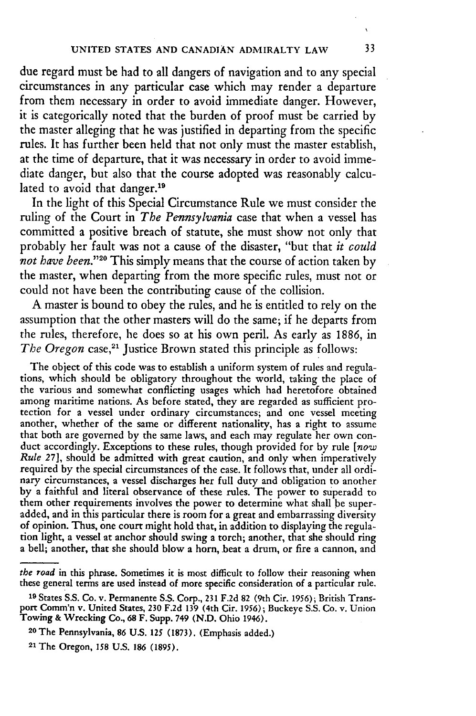due regard must be had to all dangers of navigation and to any special circumstances in any particular case which may render a departure from them necessary in order to avoid immediate danger. However, it is categorically noted that the burden of proof must be carried **by** the master alleging that he was justified in departing from the specific rules. It has further been held that not only must the master establish, at the time of departure, that it was necessary in order to avoid immediate danger, but also that the course adopted was reasonably calculated to avoid that danger.<sup>19</sup>

In the light of this Special Circumstance Rule we must consider the ruling of the Court in *The Pennsylvania* case that when a vessel has committed a positive breach of statute, she must show not only that probably her fault was not a cause of the disaster, "but that *it could not have been. '29* This simply means that the course of action taken **by** the master, when departing from the more specific rules, must not or could not have been the contributing cause of the collision.

**A** master is bound to obey the rules, and he is entitled to rely on the assumption that the other masters will do the same; if he departs from the rules, therefore, he does so at his own peril. As early as **1886,** in *The Oregon case*,<sup>21</sup> Justice Brown stated this principle as follows:

The object of this code was to establish a uniform system of rules and regulations, which should be obligatory throughout the world, taking the place of the various and somewhat conflicting usages which had heretofore obtained among maritime nations. As before stated, they are regarded as sufficient protection for a vessel under ordinary circumstances; and one vessel meeting another, whether of the same or different nationality, has a right to a that both are governed by the same laws, and each may regulate her own conduct accordingly. Exceptions to these rules, though provided for by rule *[now Rule* 27], should be admitted with great caution, and only when imperatively required by the special circumstances of the case. It follows that, under all ordinary circumstances, a vessel discharges her full duty and obligation to another **by** a faithful and literal observance of these rules. The power to superadd to them other requirements involves the power to determine what shall be superadded, and in this particular there is room for a great and embarrassing diversity of opinion. Thus, one court might hold that, in addition to displaying the regulation light, a vessel at anchor should swing a torch; another, that she should ring a bell; another, that she should blow a horn, beat a drum, or fire a cannon, and

33

*the road* in this phrase. Sometimes **it** is most difficult to follow their reasoning when these general terms are used instead of more specific consideration of a particular rule.

**<sup>19</sup>** States **S.S.** Co. v. Permanente **S.S.** Corp., **231 F.2d 82 (9th** Cir. **1956);** British Transport Comm'n v. United States, **230 F.2d 139** (4th Cir. **1956);** Buckeye **S.S.** Co. **v.** Union **Towing &** Wrecking Co., **68** F. Supp. **749 (N.D.** Ohio **1946).**

**<sup>20</sup> The Pennsylvania, 86 U.S. 125 (1873). (Emphasis added.)**

**<sup>21</sup> The Oregon, 158 U.S. 186 (1895).**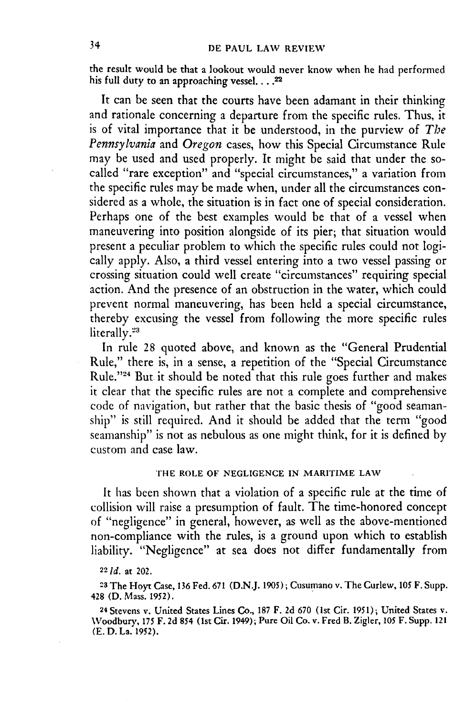the result would be that a lookout would never know when he had performed his full duty to an approaching vessel.  $\ldots$ .<sup>22</sup>

It can be seen that the courts have been adamant in their thinking and rationale concerning a departure from the specific rules. Thus, it is of vital importance that it be understood, in the purview of *The Pennsylvania* and *Oregon* cases, how this Special Circumstance Rule may be used and used properly. It might be said that under the socalled "rare exception" and "special circumstances," a variation from the specific rules may be made when, under all the circumstances considered as a whole, the situation is in fact one of special consideration. Perhaps one of the best examples would be that of a vessel when maneuvering into position alongside of its pier; that situation would present a peculiar problem to which the specific rules could not logically apply. Also, a third vessel entering into a two vessel passing or crossing situation could well create "circumstances" requiring special action. And the presence of an obstruction in the water, which could prevent normal maneuvering, has been held a special circumstance, thereby excusing the vessel from following the more specific rules literally.<sup>23</sup>

In rule 28 quoted above, and known as the "General Prudential Rule," there is, in a sense, a repetition of the "Special Circumstance Rule."<sup>24</sup> But it should be noted that this rule goes further and makes it clear that the specific rules are not a complete and comprehensive code of navigation, but rather that the basic thesis of "good seamanship" is still required. And it should be added that the term "good seamanship" is not as nebulous as one might think, for it is defined by custom and case law.

## **THE** ROLE OF **NEGLIGENCE IN** MARITIME LAW

It has been shown that a violation of a specific rule at the time of collision will raise a presumption of fault. The time-honored concept of "negligence" in general, however, as well as the above-mentioned non-compliance with the rules, is a ground upon which to establish liability. "Negligence" at sea does not differ fundamentally from

22 **Id.** at 202.

**<sup>23</sup>**The Hoyt Case, 136 Fed. 671 (D.N.J. **1905);** Cusumano v. The Curlew, **105** F. Supp. 428 **(D.** Mass. **1952).**

24 Stevens v. United States Lines Co., 187 F. 2d 670 (1st Cir. 1951); United States v. Woodbury, **175** F. 2d 854 (1st Cit. 1949); Pure Oil Co. v. Fred B. Zigler, **105** F. Supp. 121 **(E.** D. La. **1952).**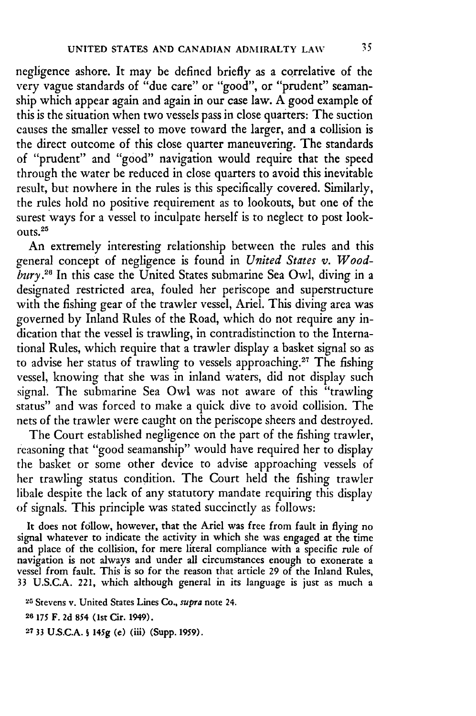negligence ashore. It may **be** defined briefly as a correlative of the very vague standards of "due care" or "good", or "prudent" seamanship which appear again and again in our case law. **A** good example of this is the situation when two vessels pass in close quarters: The suction causes the smaller vessel to move toward the larger, and a collision is the direct outcome of this close quarter maneuvering. The standards of "prudent" and "good" navigation would require that the speed through the water be reduced in close quarters to avoid this inevitable result, but nowhere in the rules is this specifically covered. Similarly, the rules hold no positive requirement as to lookouts, but one of the surest ways for a vessel to inculpate herself is to neglect to post look- $0.01$ rs.  $25$ 

An extremely interesting relationship between the rules and this general concept of negligence is found in *United States v. Woodbury.26* In this case the United States submarine Sea Owl, diving in a designated restricted area, fouled her periscope and superstructure with the fishing gear of the trawler vessel, Ariel. This diving area was governed by Inland Rules of the Road, which do not require any indication that the vessel is trawling, in contradistinction to the International Rules, which require that a trawler display a basket signal so as to advise her status of trawling to vessels approaching.<sup>27</sup> The fishing vessel, knowing that she was in inland waters, did not display such signal. The submarine Sea Owl was not aware of this "trawling status" and was forced to make a quick dive to avoid collision. The nets of the trawler were caught on the periscope sheers and destroyed.

The Court established negligence on the part of the fishing trawler, reasoning that "good seamanship" would have required her to display the basket or some other device to advise approaching vessels of her trawling status condition. The Court held the fishing trawler libale despite the lack of any statutory mandate requiring this display of signals. This principle was stated succinctly as follows:

It does not follow, however, that the Ariel was free from fault in flying no signal whatever to indicate the activity in which she was engaged at the time and place of the collision, for mere literal compliance with a specific rule of navigation is not always and under all circumstances enough to exonerate a vessel from fault. This is so for the reason that article 29 of the Inland Rules, 33 U.S.C.A. 221, which although general in its language is just as much a

25 Stevens v. United States Lines Co., *supra* note **24.**

**26175** F. **2d** *854* (1st Cir. 1949).

**2733 U.S.C.A. S 145g (e)** (iii) (Supp. **1959).**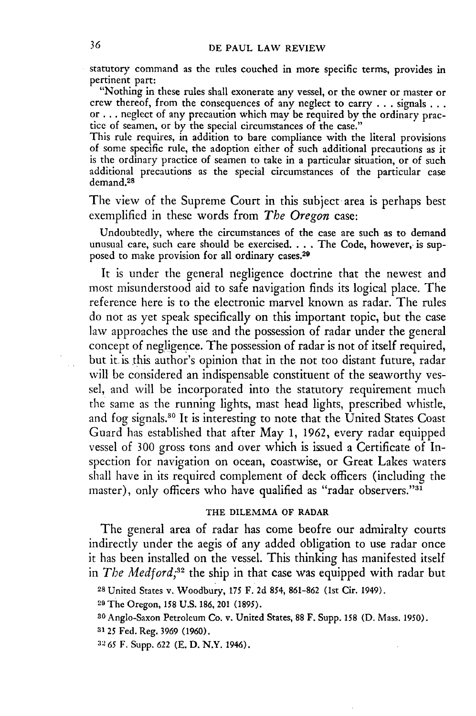statutory command as the rules couched in more specific terms, provides in pertinent part:

"Nothing in these rules shall exonerate any vessel, or the owner or master or crew thereof, from the consequences of any neglect to carry **. . .**signals... or **...** neglect of any precaution which may be required **by** the ordinary practice of seamen, or **by** the special circumstances of the case."

This rule requires, in addition to bare compliance with the literal provisions of some specific rule, the adoption either of such additional precautions as it is the ordinary practice of seamen to take in a particular situation, or of such additional precautions as the special circumstances of the particular case demand.<sup>28</sup>

The view of the Supreme Court in this subject area is perhaps best exemplified in these words from *The Oregon* case:

Undoubtedly, where the circumstances of the case are such as to demand unusual care, such care should be exercised. . **.** .The Code, however, is supposed to make provision for all ordinary cases.<sup>29</sup>

It is under the general negligence doctrine that the newest and most misunderstood aid to safe navigation finds its logical place. The reference here is to the electronic marvel known as radar. The rules do not as yet speak specifically on this important topic, but the case law approaches the use and the possession of radar under the general concept of negligence. The possession of radar is not of itself required, but it. is this author's opinion that in the not too distant future, radar **will be** considered an indispensable constituent of the seaworthy vessel, and will be incorporated into the statutory requirement much tihe same as the running lights, mast head lights, prescribed whistle, and fog signals.<sup>30</sup> It is interesting to note that the United States Coast Guard has established that after May **1, 1962,** every radar equipped vessel of **300** gross tons and over which is issued a Certificate of Inspection for navigation on ocean, coastwise, or Great Lakes waters shall have in its required complement of deck officers (including the master), only officers who have qualified as "radar observers."31

## THE DILEMMA OF RADAR

The general area of radar has come beofre our admiralty courts indirectly under the aegis of any added obligation to use radar once it has been installed on the vessel. This thinking has manifested itself in *The Medford*<sup>32</sup> the ship in that case was equipped with radar but

**<sup>28</sup>**United States v. Woodbury, **175** F. 2d *854,* 861-862 (1st Cir. 1949).

**<sup>2</sup> <sup>9</sup>**The Oregon, 158 U.S. 186, 201 **(1895).**

**<sup>30</sup>** Anglo-Saxon Petroleum Co. v. United States, **88** F. Supp. **158 (D.** Mass. 1950).

**<sup>3125</sup>** Fed. Reg. **3969 (1960).**

**<sup>32</sup> 65** F. Supp. 622 (E. **D.** N.Y. 1946).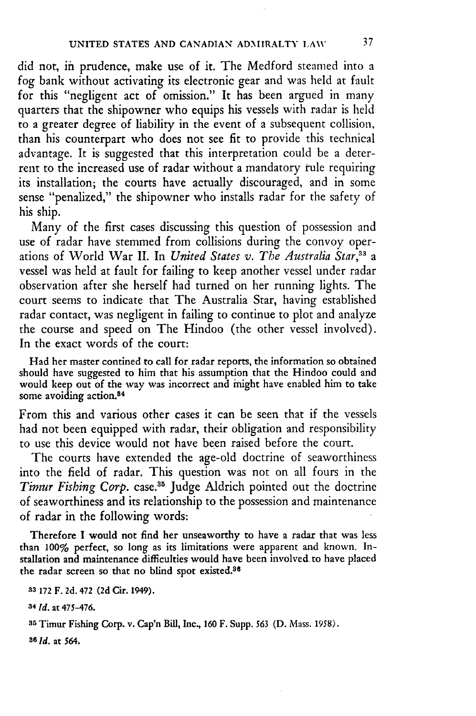did not, in prudence, make use of it. The Medford steamed into a fog bank without activating its electronic gear and was held at fault for this "negligent act of omission." It has been argued in many quarters that the shipowner who equips his vessels with radar is held to a greater degree of liability in the event of a subsequent collision, than his counterpart who does not see fit to provide this technical advantage. It is suggested that this interpretation could be a deterrent to the increased use of radar without a mandatory rule requiring its installation; the courts have actually discouraged, and in some sense "penalized," the shipowner who installs radar for the safety of his ship.

Many of the first cases discussing this question of possession and use of radar have stemmed from collisions during the convoy operations of World War II. In *United States v. The Australia Star,33 a* vessel was held at fault for failing to keep another vessel under radar observation after she herself had turned on her running lights. The court seems to indicate that The Australia Star, having established radar contact, was negligent in failing to continue to plot and analyze the course and speed on The Hindoo (the other vessel involved). In the exact words of the court:

Had her master contined to call for radar reports, the information so obtained should have suggested to him that his assumption that the Hindoo could and would keep out of the way was incorrect and might have enabled him to take some avoiding action.<sup>84</sup>

From this and various other cases it can be seen that if the vessels had not been equipped with radar, their obligation and responsibility to use this device would not have been raised before the court.

The courts have extended the age-old doctrine of seaworthiness into the field of radar. This question was not on all fours in the Timur Fishing Corp. case.<sup>35</sup> Judge Aldrich pointed out the doctrine of seaworthiness and its relationship to the possession and maintenance of radar in the following words:

Therefore I would not find her unseaworthy to have a radar that was less than **100%** perfect, so long as its limitations were apparent and known. Installation and maintenance difficulties would have been involved-to have placed the radar screen so that no blind spot existed.8s

**83 172 F. 2d. 472 (2d Cir.** 1949).

**34** *Id.* at 475-476.

**35** Timur Fishing Corp. v. Cap'n Bill, Inc., **160 F.** Supp. *563* **(D.** Mass. 1958).

**86** *Id.* at **564.**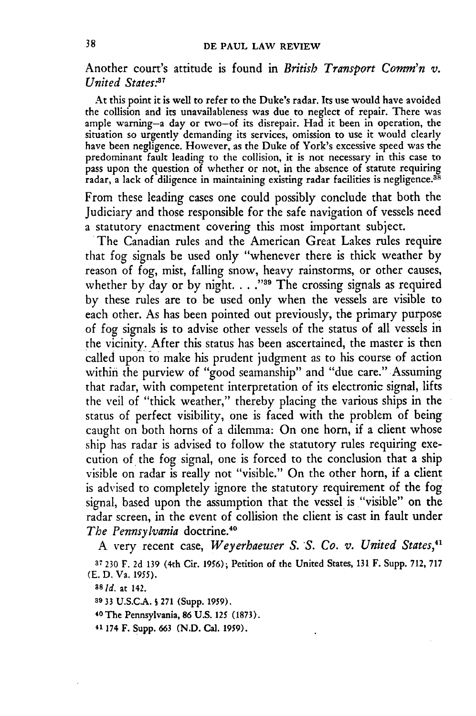Another court's attitude is found in *British Transport Comm'n v. United States <sup>7</sup>*

At this point it is well to refer to the Duke's radar. Its use would have avoided the collision and its unavailableness was due to neglect of repair. There was ample warning-a day or two-of its disrepair. Had it been in operation, the situation so urgently demanding its services, omission to use it would clearly have been negligence. However, as the Duke of York's excessive speed was the predominant fault leading to the collision, it is not necessary in this case to pass upon the question of whether or not, in the absence of statute requiring radar, a lack of diligence in maintaining existing radar facilities is negligence.<sup>38</sup>

From these leading cases one could possibly conclude that both the Judiciary and those responsible for the safe navigation of vessels need a statutory enactment covering this most important subject. The Canadian rules and the American Great Lakes rules require

that fog signals be used only "whenever there is thick weather by reason of fog, mist, falling snow, heavy rainstorms, or other causes, whether by day or by night. . . . <sup>39</sup> The crossing signals as required by these rules are to be used only when the vessels are visible to each other. As has been pointed out previously, the primary purpose of fog signals is to advise other vessels of the status of all vessels in the vicinity. After this status has been ascertained, the master is then called upon to make his prudent judgment as to his course of action within the purview of "good seamanship" and "due care." Assuming that radar, with competent interpretation of its electronic signal, lifts the veil of "thick weather," thereby placing the various ships in the status of perfect visibility, one is faced with the problem of being caught on both horns of a dilemma: On one horn, if a client whose ship has radar is advised to follow the statutory rules requiring execution of the fog signal, one is forced to the conclusion that a ship visible on radar is really not "visible." On the other horn, **if** a client is advised to completely ignore the statutory requirement of the fog signal, based upon the assumption that the vessel is "visible" on the radar screen, in the event of collision the client is cast in fault under *The Pennsylvania* doctrine.40

A very recent case, *Weyerhaeuser S. S. Co. v. United States,41*

**<sup>37</sup><sup>230</sup>**F. 2d 139 (4th Cir. 1956); Petition of the United States, 131 F. Supp. 712, 717 (E. D. Va. **1955).**

**a8 Id.** at 142.

**<sup>39</sup>33** U.S.CA.. **S** 271 (Supp. 1959).

<sup>40</sup> The Pennsylvania, **86 U.S. 125 (1873).**

41 174 F. Supp. **663** (N.D. Cal. **1959).**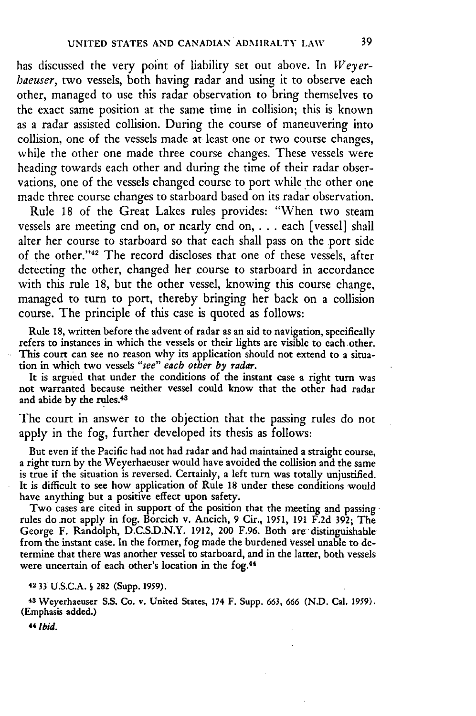has discussed the very point of liability set out above. In *Weyerhaeuser,* two vessels, both having radar and using it to observe each other, managed to use this radar observation to bring themselves to the exact same position at the same time in collision; this is known as a radar assisted collision. During the course of maneuvering into collision, one of the vessels made at least one or two course changes, while the other one made three course changes. These vessels were heading towards each other and during the time of their radar observations, one of the vessels changed course to port while the other one made three course changes to starboard based on its radar observation.

Rule 18 of the Great Lakes rules provides: "When two steam vessels are meeting end on, or nearly end on, . . . each [vessel] shall alter her course to starboard so that each shall pass on the port side of the other. '42 The record discloses that one of these vessels, after detecting the other, changed her course to starboard in accordance with this rule 18, but the other vessel, knowing this course change, managed to turn to port, thereby bringing her back on a collision course. The principle of this case is quoted as follows:

Rule 18, written before the advent of radar as an aid to navigation, specifically refers to instances in which the vessels or their lights are visible to each other. This court can see no reason why its application should not extend to a situation in which two vessels *"see" each other by radar.*

It is argued that under the conditions of the instant case a right turn was not warranted because neither vessel could know that the other had radar and abide **by** the rules. <sup>48</sup>

The court in answer to the objection that the passing rules do not apply in the fog, further developed its thesis as follows:

But even if the Pacific had not had radar and had maintained a straight course, a right turn by the Weyerhaeuser would have avoided the collision and the same is true if the situation is reversed. Certainly, a left turn was totally unjustified. It is difficult to see how application of Rule 18 under these conditions would have anything but a positive effect upon safety.

Two cases are cited in support of the position that the meeting and passing rules do not apply in fog. Borcich v. Ancich, 9 Cir., **1951,** 191 F.2d 392; The George F. Randolph, D.C.S.D.N.Y. 1912, 200 F.96. Both are' distinguishable from the instant case. In the former, fog made the burdened vessel unable to determine that there was another vessel to starboard, and in the latter, both vessels were uncertain of each other's location in the fog.<sup>44</sup>

#### **42 33** U.S.C.A. **S 282** (Supp. **1959).**

**<sup>48</sup>**Weyerhaeuser S.S. Co. v. United States, 174 F. Supp. **663, 666** (N.D. Cal. **1959).** (Emphasis added.)

*44 Ibid.*